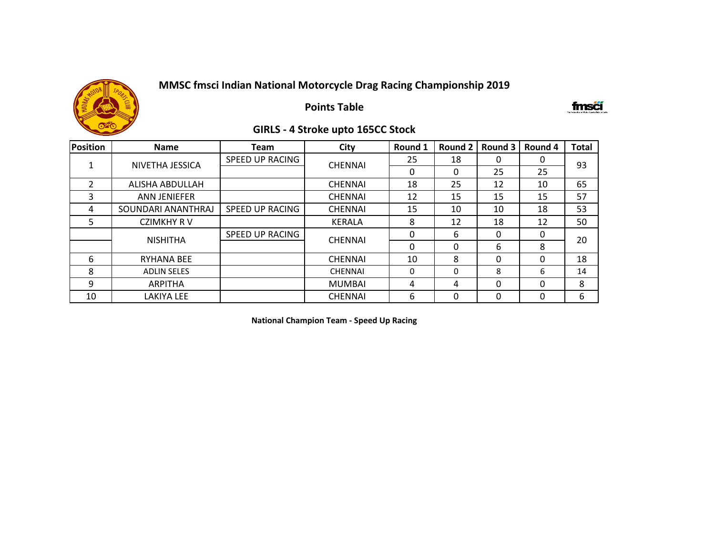

## **Points Table**

#### fmsä

### **GIRLS - 4 Stroke upto 165CC Stock**

| <b>Position</b> | <b>Name</b>         | <b>Team</b>                              | City           | Round 1  | Round 2  | Round 3  | Round 4 | <b>Total</b> |
|-----------------|---------------------|------------------------------------------|----------------|----------|----------|----------|---------|--------------|
|                 | NIVETHA JESSICA     | SPEED UP RACING                          | <b>CHENNAI</b> | 25       | 18       | 0        | 0       | 93           |
|                 |                     |                                          |                | 0        | 0        | 25       | 25      |              |
| $\overline{2}$  | ALISHA ABDULLAH     |                                          | <b>CHENNAI</b> | 18       | 25       | 12       | 10      | 65           |
| 3               | <b>ANN JENIEFER</b> |                                          | <b>CHENNAI</b> | 12       | 15       | 15       | 15      | 57           |
| 4               | SOUNDARI ANANTHRAJ  | SPEED UP RACING                          | <b>CHENNAI</b> | 15       | 10       | 10       | 18      | 53           |
| 5.              | <b>CZIMKHY RV</b>   |                                          | <b>KERALA</b>  | 8        | 12       | 18       | 12      | 50           |
|                 | <b>NISHITHA</b>     | <b>SPEED UP RACING</b><br><b>CHENNAI</b> |                | 0        | 6        | 0        |         | 20           |
|                 |                     |                                          |                | $\Omega$ | $\Omega$ | 6        | 8       |              |
| 6               | <b>RYHANA BEE</b>   |                                          | <b>CHENNAI</b> | 10       | 8        | $\Omega$ | O       | 18           |
| 8               | <b>ADLIN SELES</b>  |                                          | <b>CHENNAI</b> | 0        | $\Omega$ | 8        | 6       | 14           |
| 9               | <b>ARPITHA</b>      |                                          | <b>MUMBAI</b>  | 4        | 4        | $\Omega$ | 0       | 8            |
| 10              | LAKIYA LEE          |                                          | <b>CHENNAI</b> | 6        | 0        | 0        |         | 6            |

**National Champion Team - Speed Up Racing**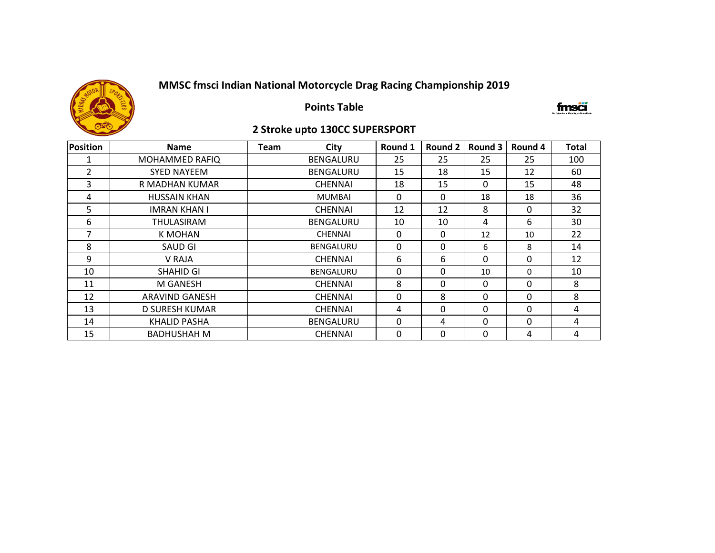

**Points Table**

### fmsőí

## **2 Stroke upto 130CC SUPERSPORT**

| Position | <b>Name</b>           | <b>Team</b> | City             | Round 1  | <b>Round 2</b> | Round 3  | Round 4      | <b>Total</b> |
|----------|-----------------------|-------------|------------------|----------|----------------|----------|--------------|--------------|
|          | <b>MOHAMMED RAFIQ</b> |             | <b>BENGALURU</b> | 25       | 25             | 25       | 25           | 100          |
| 2        | <b>SYED NAYEEM</b>    |             | BENGALURU        | 15       | 18             | 15       | 12           | 60           |
| 3        | R MADHAN KUMAR        |             | <b>CHENNAI</b>   | 18       | 15             | 0        | 15           | 48           |
| 4        | <b>HUSSAIN KHAN</b>   |             | <b>MUMBAI</b>    | $\Omega$ | $\mathbf{0}$   | 18       | 18           | 36           |
| 5        | <b>IMRAN KHAN I</b>   |             | <b>CHENNAI</b>   | 12       | 12             | 8        | $\Omega$     | 32           |
| 6        | THULASIRAM            |             | <b>BENGALURU</b> | 10       | 10             | 4        | 6            | 30           |
| 7        | K MOHAN               |             | <b>CHENNAI</b>   | 0        | $\mathbf{0}$   | 12       | 10           | 22           |
| 8        | <b>SAUD GI</b>        |             | <b>BENGALURU</b> | $\Omega$ | $\Omega$       | 6        | 8            | 14           |
| 9        | V RAJA                |             | <b>CHENNAI</b>   | 6        | 6              | 0        | $\Omega$     | 12           |
| 10       | SHAHID GI             |             | <b>BENGALURU</b> | 0        | $\mathbf{0}$   | 10       | $\mathbf{0}$ | 10           |
| 11       | M GANESH              |             | <b>CHENNAI</b>   | 8        | $\Omega$       | 0        | $\Omega$     | 8            |
| 12       | ARAVIND GANESH        |             | <b>CHENNAI</b>   | $\Omega$ | 8              | $\Omega$ | $\Omega$     | 8            |
| 13       | D SURESH KUMAR        |             | <b>CHENNAI</b>   | 4        | $\mathbf{0}$   | 0        | $\Omega$     | 4            |
| 14       | <b>KHALID PASHA</b>   |             | <b>BENGALURU</b> | $\Omega$ | 4              | 0        | $\Omega$     | 4            |
| 15       | <b>BADHUSHAH M</b>    |             | <b>CHENNAI</b>   | 0        | 0              | 0        | 4            | 4            |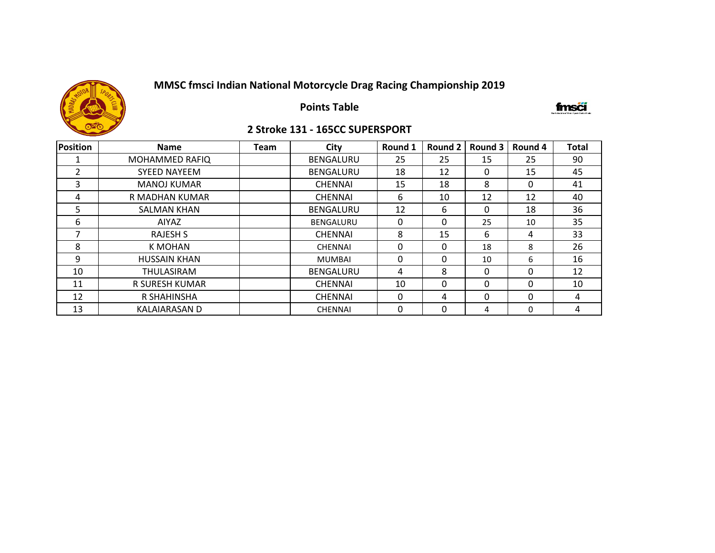

**Points Table**

#### fmsői

### **2 Stroke 131 - 165CC SUPERSPORT**

| Position       | <b>Name</b>           | <b>Team</b> | City             | Round 1 | Round 2 | Round 3 | Round 4  | <b>Total</b> |
|----------------|-----------------------|-------------|------------------|---------|---------|---------|----------|--------------|
|                | <b>MOHAMMED RAFIQ</b> |             | <b>BENGALURU</b> | 25      | 25      | 15      | 25       | 90           |
| $\overline{2}$ | <b>SYEED NAYEEM</b>   |             | <b>BENGALURU</b> | 18      | 12      | 0       | 15       | 45           |
| 3              | <b>MANOJ KUMAR</b>    |             | <b>CHENNAI</b>   | 15      | 18      | 8       | 0        | 41           |
| 4              | R MADHAN KUMAR        |             | <b>CHENNAI</b>   | 6       | 10      | 12      | 12       | 40           |
| 5              | <b>SALMAN KHAN</b>    |             | <b>BENGALURU</b> | 12      | 6       | 0       | 18       | 36           |
| 6              | AIYAZ                 |             | BENGALURU        | 0       | 0       | 25      | 10       | 35           |
| 7              | <b>RAJESH S</b>       |             | <b>CHENNAI</b>   | 8       | 15      | 6       | 4        | 33           |
| 8              | <b>K MOHAN</b>        |             | <b>CHENNAI</b>   | 0       | 0       | 18      | 8        | 26           |
| 9              | <b>HUSSAIN KHAN</b>   |             | <b>MUMBAI</b>    | 0       | 0       | 10      | 6        | 16           |
| 10             | <b>THULASIRAM</b>     |             | <b>BENGALURU</b> | 4       | 8       | 0       | 0        | 12           |
| 11             | R SURESH KUMAR        |             | <b>CHENNAI</b>   | 10      | 0       | 0       | $\Omega$ | 10           |
| 12             | R SHAHINSHA           |             | <b>CHENNAI</b>   | 0       | 4       | 0       | $\Omega$ | 4            |
| 13             | <b>KALAIARASAN D</b>  |             | <b>CHENNAI</b>   | 0       | 0       | 4       | $\Omega$ | 4            |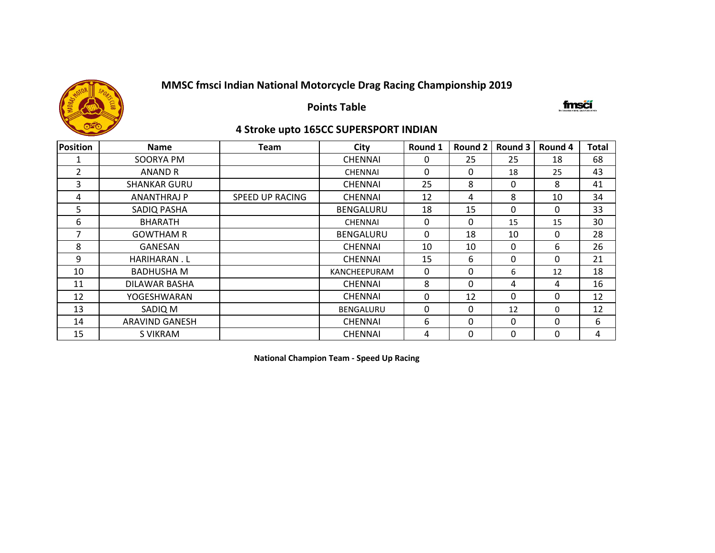

**Points Table**

fmsä

### **4 Stroke upto 165CC SUPERSPORT INDIAN**

| <b>Position</b> | <b>Name</b>         | Team                   | City             | Round 1  | <b>Round 2</b> | Round 3  | Round 4 | <b>Total</b> |
|-----------------|---------------------|------------------------|------------------|----------|----------------|----------|---------|--------------|
| 1               | SOORYA PM           |                        | <b>CHENNAI</b>   | 0        | 25             | 25       | 18      | 68           |
| $\overline{2}$  | ANAND R             |                        | <b>CHENNAI</b>   | $\Omega$ | $\Omega$       | 18       | 25      | 43           |
| 3               | <b>SHANKAR GURU</b> |                        | <b>CHENNAI</b>   | 25       | 8              | 0        | 8       | 41           |
| 4               | ANANTHRAJ P         | <b>SPEED UP RACING</b> | <b>CHENNAI</b>   | 12       | 4              | 8        | 10      | 34           |
| 5               | SADIQ PASHA         |                        | <b>BENGALURU</b> | 18       | 15             | $\Omega$ | 0       | 33           |
| 6               | <b>BHARATH</b>      |                        | <b>CHENNAI</b>   | 0        | 0              | 15       | 15      | 30           |
| 7               | <b>GOWTHAM R</b>    |                        | BENGALURU        | 0        | 18             | 10       | 0       | 28           |
| 8               | <b>GANESAN</b>      |                        | <b>CHENNAI</b>   | 10       | 10             | $\Omega$ | 6       | 26           |
| 9               | HARIHARAN.L         |                        | <b>CHENNAI</b>   | 15       | 6              | 0        | 0       | 21           |
| 10              | <b>BADHUSHA M</b>   |                        | KANCHEEPURAM     | 0        | 0              | 6        | 12      | 18           |
| 11              | DILAWAR BASHA       |                        | <b>CHENNAI</b>   | 8        | 0              | 4        | 4       | 16           |
| 12              | YOGESHWARAN         |                        | <b>CHENNAI</b>   | 0        | 12             | $\Omega$ | 0       | 12           |
| 13              | SADIQ M             |                        | <b>BENGALURU</b> | 0        | 0              | 12       | 0       | 12           |
| 14              | ARAVIND GANESH      |                        | <b>CHENNAI</b>   | 6        | 0              | 0        | 0       | 6            |
| 15              | S VIKRAM            |                        | <b>CHENNAI</b>   | 4        | 0              | 0        | 0       | 4            |

**National Champion Team - Speed Up Racing**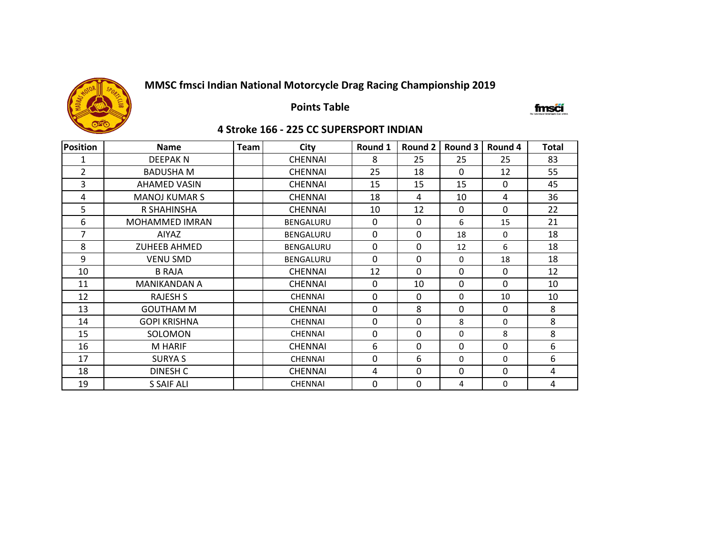

## **Points Table**

#### fmsä

### **4 Stroke 166 - 225 CC SUPERSPORT INDIAN**

| Position       | <b>Name</b>          | <b>Team</b> | <b>City</b>      | Round 1  | Round 2      | Round 3     | Round 4     | Total |
|----------------|----------------------|-------------|------------------|----------|--------------|-------------|-------------|-------|
| 1              | <b>DEEPAKN</b>       |             | <b>CHENNAI</b>   | 8        | 25           | 25          | 25          | 83    |
| $\overline{2}$ | <b>BADUSHA M</b>     |             | <b>CHENNAI</b>   | 25       | 18           | $\Omega$    | 12          | 55    |
| 3              | <b>AHAMED VASIN</b>  |             | <b>CHENNAI</b>   | 15       | 15           | 15          | $\Omega$    | 45    |
| 4              | <b>MANOJ KUMAR S</b> |             | <b>CHENNAI</b>   | 18       | 4            | 10          | 4           | 36    |
| 5              | R SHAHINSHA          |             | <b>CHENNAI</b>   | 10       | 12           | 0           | $\Omega$    | 22    |
| 6              | MOHAMMED IMRAN       |             | <b>BENGALURU</b> | $\Omega$ | $\mathbf{0}$ | 6           | 15          | 21    |
| 7              | AIYAZ                |             | <b>BENGALURU</b> | $\Omega$ | $\mathbf 0$  | 18          | $\Omega$    | 18    |
| 8              | <b>ZUHEEB AHMED</b>  |             | <b>BENGALURU</b> | $\Omega$ | $\Omega$     | 12          | 6           | 18    |
| 9              | <b>VENU SMD</b>      |             | BENGALURU        | $\Omega$ | $\Omega$     | 0           | 18          | 18    |
| 10             | <b>B RAJA</b>        |             | <b>CHENNAI</b>   | 12       | $\Omega$     | $\mathbf 0$ | $\mathbf 0$ | 12    |
| 11             | <b>MANIKANDAN A</b>  |             | <b>CHENNAI</b>   | $\Omega$ | 10           | $\mathbf 0$ | $\Omega$    | 10    |
| 12             | <b>RAJESH S</b>      |             | <b>CHENNAI</b>   | $\Omega$ | $\mathbf{0}$ | $\mathbf 0$ | 10          | 10    |
| 13             | <b>GOUTHAM M</b>     |             | <b>CHENNAI</b>   | $\Omega$ | 8            | 0           | $\Omega$    | 8     |
| 14             | <b>GOPI KRISHNA</b>  |             | <b>CHENNAI</b>   | $\Omega$ | $\mathbf{0}$ | 8           | $\Omega$    | 8     |
| 15             | SOLOMON              |             | <b>CHENNAI</b>   | 0        | $\mathbf 0$  | $\Omega$    | 8           | 8     |
| 16             | M HARIF              |             | <b>CHENNAI</b>   | 6        | $\mathbf 0$  | 0           | 0           | 6     |
| 17             | <b>SURYA S</b>       |             | <b>CHENNAI</b>   | $\Omega$ | 6            | $\Omega$    | 0           | 6     |
| 18             | DINESH C             |             | <b>CHENNAI</b>   | 4        | $\Omega$     | 0           | $\Omega$    | 4     |
| 19             | S SAIF ALI           |             | <b>CHENNAI</b>   | 0        | 0            | 4           | 0           | 4     |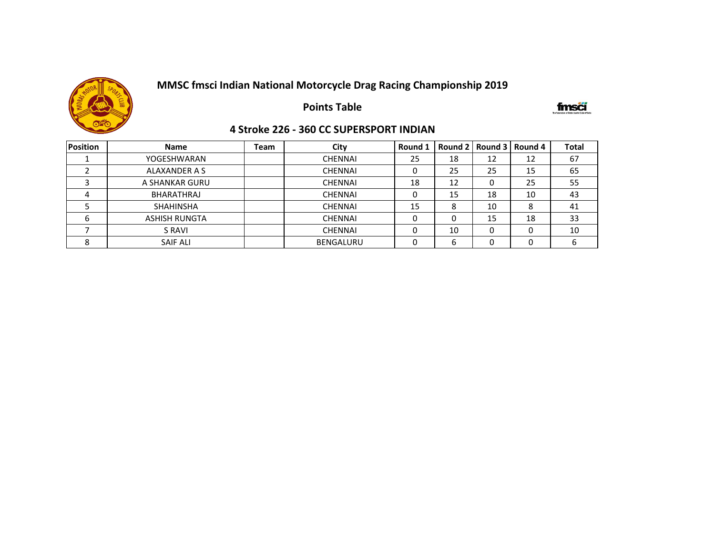

**Points Table**

#### fmsä

#### **4 Stroke 226 - 360 CC SUPERSPORT INDIAN**

| <b>Position</b> | <b>Name</b>          | Team | City             | Round 1 |    |    | Round 2   Round 3   Round 4 | <b>Total</b> |
|-----------------|----------------------|------|------------------|---------|----|----|-----------------------------|--------------|
|                 | YOGESHWARAN          |      | <b>CHENNAI</b>   | 25      | 18 | 12 | 12                          | 67           |
|                 | ALAXANDER A S        |      | <b>CHENNAI</b>   |         | 25 | 25 | 15                          | 65           |
|                 | A SHANKAR GURU       |      | <b>CHENNAI</b>   | 18      | 12 |    | 25                          | 55           |
|                 | BHARATHRAJ           |      | <b>CHENNAI</b>   |         | 15 | 18 | 10                          | 43           |
|                 | <b>SHAHINSHA</b>     |      | <b>CHENNAI</b>   | 15      | 8  | 10 | 8                           | 41           |
|                 | <b>ASHISH RUNGTA</b> |      | <b>CHENNAI</b>   |         | 0  | 15 | 18                          | 33           |
|                 | S RAVI               |      | <b>CHENNAI</b>   |         | 10 |    |                             | 10           |
| o<br>δ          | <b>SAIF ALI</b>      |      | <b>BENGALURU</b> |         | b  |    |                             | b            |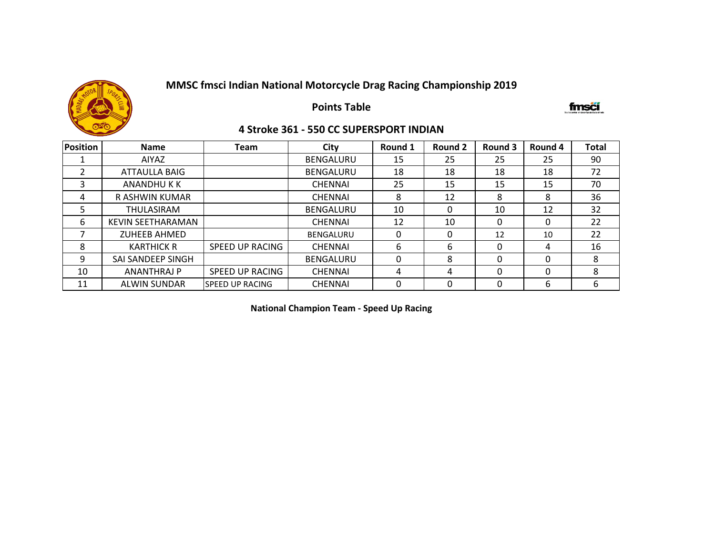

**Points Table**

fmsői

### **4 Stroke 361 - 550 CC SUPERSPORT INDIAN**

| <b>Position</b> | <b>Name</b>              | <b>Team</b>            | City             | Round 1  | Round 2 | Round 3  | Round 4 | <b>Total</b> |
|-----------------|--------------------------|------------------------|------------------|----------|---------|----------|---------|--------------|
|                 | AIYAZ                    |                        | <b>BENGALURU</b> | 15       | 25      | 25       | 25      | 90           |
| າ               | <b>ATTAULLA BAIG</b>     |                        | <b>BENGALURU</b> | 18       | 18      | 18       | 18      | 72           |
| 3               | ANANDHU K K              |                        | <b>CHENNAI</b>   | 25       | 15      | 15       | 15      | 70           |
| 4               | R ASHWIN KUMAR           |                        | <b>CHENNAI</b>   | 8        | 12      | 8        | 8       | 36           |
| 5               | THULASIRAM               |                        | <b>BENGALURU</b> | 10       | 0       | 10       | 12      | 32           |
| 6               | <b>KEVIN SEETHARAMAN</b> |                        | <b>CHENNAI</b>   | 12       | 10      | 0        |         | 22           |
|                 | <b>ZUHEEB AHMED</b>      |                        | <b>BENGALURU</b> | $\Omega$ | 0       | 12       | 10      | 22           |
| 8               | <b>KARTHICK R</b>        | <b>SPEED UP RACING</b> | <b>CHENNAI</b>   | 6        | 6       | 0        | 4       | 16           |
| 9               | SAI SANDEEP SINGH        |                        | <b>BENGALURU</b> | 0        | 8       | 0        | 0       | 8            |
| 10              | <b>ANANTHRAJ P</b>       | SPEED UP RACING        | <b>CHENNAI</b>   | 4        | 4       | $\Omega$ | 0       | 8            |
| 11              | <b>ALWIN SUNDAR</b>      | <b>SPEED UP RACING</b> | <b>CHENNAI</b>   | 0        | 0       | 0        | 6       | 6            |

**National Champion Team - Speed Up Racing**